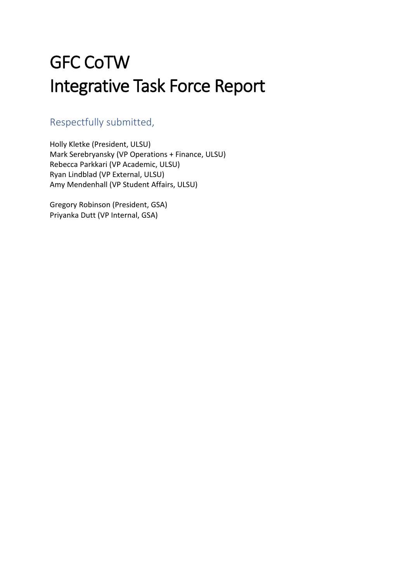# GFC CoTW Integrative Task Force Report

## Respectfully submitted,

Holly Kletke (President, ULSU) Mark Serebryansky (VP Operations + Finance, ULSU) Rebecca Parkkari (VP Academic, ULSU) Ryan Lindblad (VP External, ULSU) Amy Mendenhall (VP Student Affairs, ULSU)

Gregory Robinson (President, GSA) Priyanka Dutt (VP Internal, GSA)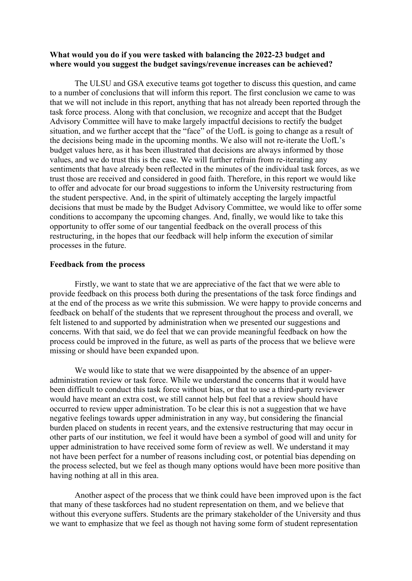#### **What would you do if you were tasked with balancing the 2022-23 budget and where would you suggest the budget savings/revenue increases can be achieved?**

The ULSU and GSA executive teams got together to discuss this question, and came to a number of conclusions that will inform this report. The first conclusion we came to was that we will not include in this report, anything that has not already been reported through the task force process. Along with that conclusion, we recognize and accept that the Budget Advisory Committee will have to make largely impactful decisions to rectify the budget situation, and we further accept that the "face" of the UofL is going to change as a result of the decisions being made in the upcoming months. We also will not re-iterate the UofL's budget values here, as it has been illustrated that decisions are always informed by those values, and we do trust this is the case. We will further refrain from re-iterating any sentiments that have already been reflected in the minutes of the individual task forces, as we trust those are received and considered in good faith. Therefore, in this report we would like to offer and advocate for our broad suggestions to inform the University restructuring from the student perspective. And, in the spirit of ultimately accepting the largely impactful decisions that must be made by the Budget Advisory Committee, we would like to offer some conditions to accompany the upcoming changes. And, finally, we would like to take this opportunity to offer some of our tangential feedback on the overall process of this restructuring, in the hopes that our feedback will help inform the execution of similar processes in the future.

#### **Feedback from the process**

Firstly, we want to state that we are appreciative of the fact that we were able to provide feedback on this process both during the presentations of the task force findings and at the end of the process as we write this submission. We were happy to provide concerns and feedback on behalf of the students that we represent throughout the process and overall, we felt listened to and supported by administration when we presented our suggestions and concerns. With that said, we do feel that we can provide meaningful feedback on how the process could be improved in the future, as well as parts of the process that we believe were missing or should have been expanded upon.

We would like to state that we were disappointed by the absence of an upperadministration review or task force. While we understand the concerns that it would have been difficult to conduct this task force without bias, or that to use a third-party reviewer would have meant an extra cost, we still cannot help but feel that a review should have occurred to review upper administration. To be clear this is not a suggestion that we have negative feelings towards upper administration in any way, but considering the financial burden placed on students in recent years, and the extensive restructuring that may occur in other parts of our institution, we feel it would have been a symbol of good will and unity for upper administration to have received some form of review as well. We understand it may not have been perfect for a number of reasons including cost, or potential bias depending on the process selected, but we feel as though many options would have been more positive than having nothing at all in this area.

Another aspect of the process that we think could have been improved upon is the fact that many of these taskforces had no student representation on them, and we believe that without this everyone suffers. Students are the primary stakeholder of the University and thus we want to emphasize that we feel as though not having some form of student representation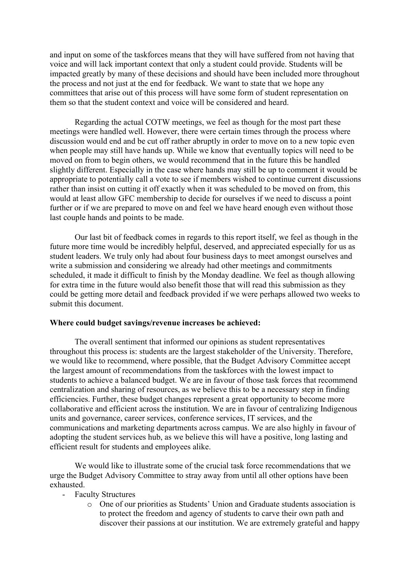and input on some of the taskforces means that they will have suffered from not having that voice and will lack important context that only a student could provide. Students will be impacted greatly by many of these decisions and should have been included more throughout the process and not just at the end for feedback. We want to state that we hope any committees that arise out of this process will have some form of student representation on them so that the student context and voice will be considered and heard.

Regarding the actual COTW meetings, we feel as though for the most part these meetings were handled well. However, there were certain times through the process where discussion would end and be cut off rather abruptly in order to move on to a new topic even when people may still have hands up. While we know that eventually topics will need to be moved on from to begin others, we would recommend that in the future this be handled slightly different. Especially in the case where hands may still be up to comment it would be appropriate to potentially call a vote to see if members wished to continue current discussions rather than insist on cutting it off exactly when it was scheduled to be moved on from, this would at least allow GFC membership to decide for ourselves if we need to discuss a point further or if we are prepared to move on and feel we have heard enough even without those last couple hands and points to be made.

Our last bit of feedback comes in regards to this report itself, we feel as though in the future more time would be incredibly helpful, deserved, and appreciated especially for us as student leaders. We truly only had about four business days to meet amongst ourselves and write a submission and considering we already had other meetings and commitments scheduled, it made it difficult to finish by the Monday deadline. We feel as though allowing for extra time in the future would also benefit those that will read this submission as they could be getting more detail and feedback provided if we were perhaps allowed two weeks to submit this document.

#### **Where could budget savings/revenue increases be achieved:**

The overall sentiment that informed our opinions as student representatives throughout this process is: students are the largest stakeholder of the University. Therefore, we would like to recommend, where possible, that the Budget Advisory Committee accept the largest amount of recommendations from the taskforces with the lowest impact to students to achieve a balanced budget. We are in favour of those task forces that recommend centralization and sharing of resources, as we believe this to be a necessary step in finding efficiencies. Further, these budget changes represent a great opportunity to become more collaborative and efficient across the institution. We are in favour of centralizing Indigenous units and governance, career services, conference services, IT services, and the communications and marketing departments across campus. We are also highly in favour of adopting the student services hub, as we believe this will have a positive, long lasting and efficient result for students and employees alike.

We would like to illustrate some of the crucial task force recommendations that we urge the Budget Advisory Committee to stray away from until all other options have been exhausted.

### Faculty Structures

o One of our priorities as Students' Union and Graduate students association is to protect the freedom and agency of students to carve their own path and discover their passions at our institution. We are extremely grateful and happy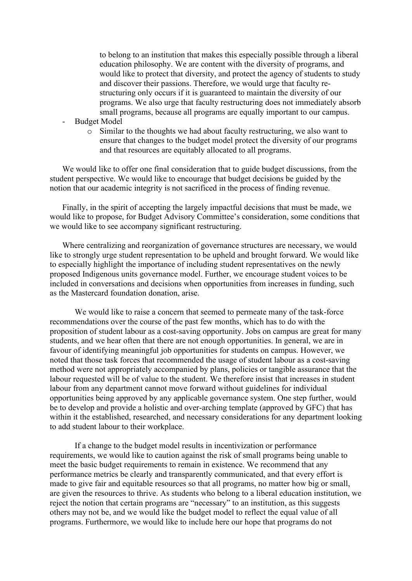to belong to an institution that makes this especially possible through a liberal education philosophy. We are content with the diversity of programs, and would like to protect that diversity, and protect the agency of students to study and discover their passions. Therefore, we would urge that faculty restructuring only occurs if it is guaranteed to maintain the diversity of our programs. We also urge that faculty restructuring does not immediately absorb small programs, because all programs are equally important to our campus.

- Budget Model
	- o Similar to the thoughts we had about faculty restructuring, we also want to ensure that changes to the budget model protect the diversity of our programs and that resources are equitably allocated to all programs.

We would like to offer one final consideration that to guide budget discussions, from the student perspective. We would like to encourage that budget decisions be guided by the notion that our academic integrity is not sacrificed in the process of finding revenue.

Finally, in the spirit of accepting the largely impactful decisions that must be made, we would like to propose, for Budget Advisory Committee's consideration, some conditions that we would like to see accompany significant restructuring.

Where centralizing and reorganization of governance structures are necessary, we would like to strongly urge student representation to be upheld and brought forward. We would like to especially highlight the importance of including student representatives on the newly proposed Indigenous units governance model. Further, we encourage student voices to be included in conversations and decisions when opportunities from increases in funding, such as the Mastercard foundation donation, arise.

We would like to raise a concern that seemed to permeate many of the task-force recommendations over the course of the past few months, which has to do with the proposition of student labour as a cost-saving opportunity. Jobs on campus are great for many students, and we hear often that there are not enough opportunities. In general, we are in favour of identifying meaningful job opportunities for students on campus. However, we noted that those task forces that recommended the usage of student labour as a cost-saving method were not appropriately accompanied by plans, policies or tangible assurance that the labour requested will be of value to the student. We therefore insist that increases in student labour from any department cannot move forward without guidelines for individual opportunities being approved by any applicable governance system. One step further, would be to develop and provide a holistic and over-arching template (approved by GFC) that has within it the established, researched, and necessary considerations for any department looking to add student labour to their workplace.

If a change to the budget model results in incentivization or performance requirements, we would like to caution against the risk of small programs being unable to meet the basic budget requirements to remain in existence. We recommend that any performance metrics be clearly and transparently communicated, and that every effort is made to give fair and equitable resources so that all programs, no matter how big or small, are given the resources to thrive. As students who belong to a liberal education institution, we reject the notion that certain programs are "necessary" to an institution, as this suggests others may not be, and we would like the budget model to reflect the equal value of all programs. Furthermore, we would like to include here our hope that programs do not